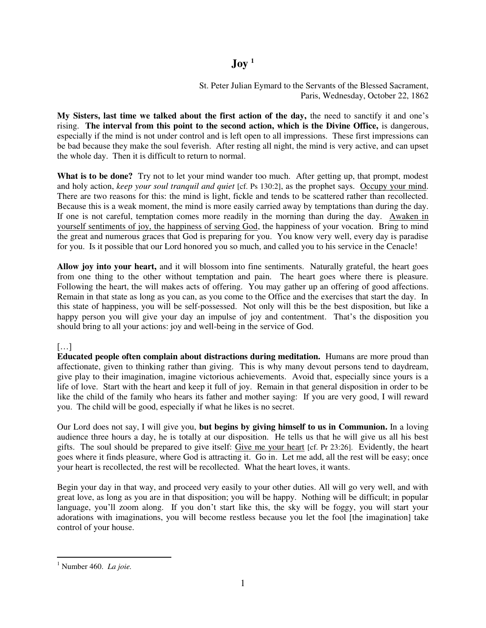## $\overline{\text{Jov}}^1$

St. Peter Julian Eymard to the Servants of the Blessed Sacrament, Paris, Wednesday, October 22, 1862

**My Sisters, last time we talked about the first action of the day,** the need to sanctify it and one's rising. **The interval from this point to the second action, which is the Divine Office,** is dangerous, especially if the mind is not under control and is left open to all impressions. These first impressions can be bad because they make the soul feverish. After resting all night, the mind is very active, and can upset the whole day. Then it is difficult to return to normal.

**What is to be done?** Try not to let your mind wander too much. After getting up, that prompt, modest and holy action, *keep your soul tranquil and quiet* [cf. Ps 130:2], as the prophet says. Occupy your mind. There are two reasons for this: the mind is light, fickle and tends to be scattered rather than recollected. Because this is a weak moment, the mind is more easily carried away by temptations than during the day. If one is not careful, temptation comes more readily in the morning than during the day. Awaken in yourself sentiments of joy, the happiness of serving God, the happiness of your vocation. Bring to mind the great and numerous graces that God is preparing for you. You know very well, every day is paradise for you. Is it possible that our Lord honored you so much, and called you to his service in the Cenacle!

**Allow joy into your heart,** and it will blossom into fine sentiments. Naturally grateful, the heart goes from one thing to the other without temptation and pain. The heart goes where there is pleasure. Following the heart, the will makes acts of offering. You may gather up an offering of good affections. Remain in that state as long as you can, as you come to the Office and the exercises that start the day. In this state of happiness, you will be self-possessed. Not only will this be the best disposition, but like a happy person you will give your day an impulse of joy and contentment. That's the disposition you should bring to all your actions: joy and well-being in the service of God.

## $\lceil$ ...]

**Educated people often complain about distractions during meditation.** Humans are more proud than affectionate, given to thinking rather than giving. This is why many devout persons tend to daydream, give play to their imagination, imagine victorious achievements. Avoid that, especially since yours is a life of love. Start with the heart and keep it full of joy. Remain in that general disposition in order to be like the child of the family who hears its father and mother saying: If you are very good, I will reward you. The child will be good, especially if what he likes is no secret.

Our Lord does not say, I will give you, **but begins by giving himself to us in Communion.** In a loving audience three hours a day, he is totally at our disposition. He tells us that he will give us all his best gifts. The soul should be prepared to give itself: Give me your heart [cf. Pr 23:26]. Evidently, the heart goes where it finds pleasure, where God is attracting it. Go in. Let me add, all the rest will be easy; once your heart is recollected, the rest will be recollected. What the heart loves, it wants.

Begin your day in that way, and proceed very easily to your other duties. All will go very well, and with great love, as long as you are in that disposition; you will be happy. Nothing will be difficult; in popular language, you'll zoom along. If you don't start like this, the sky will be foggy, you will start your adorations with imaginations, you will become restless because you let the fool [the imagination] take control of your house.

 $\overline{a}$ <sup>1</sup> Number 460. *La joie*.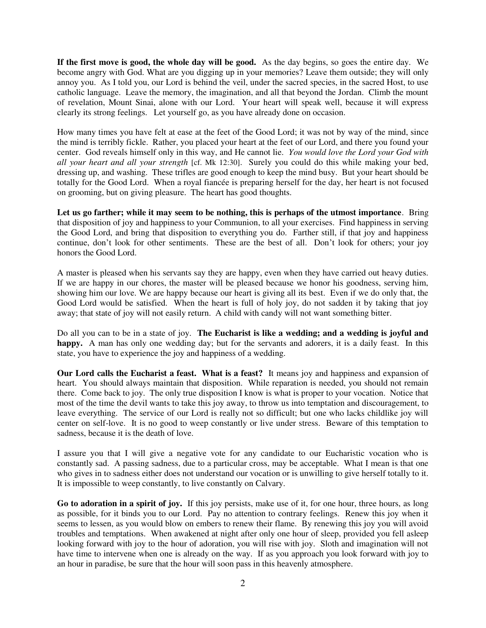**If the first move is good, the whole day will be good.** As the day begins, so goes the entire day. We become angry with God. What are you digging up in your memories? Leave them outside; they will only annoy you. As I told you, our Lord is behind the veil, under the sacred species, in the sacred Host, to use catholic language. Leave the memory, the imagination, and all that beyond the Jordan. Climb the mount of revelation, Mount Sinai, alone with our Lord. Your heart will speak well, because it will express clearly its strong feelings. Let yourself go, as you have already done on occasion.

How many times you have felt at ease at the feet of the Good Lord; it was not by way of the mind, since the mind is terribly fickle. Rather, you placed your heart at the feet of our Lord, and there you found your center. God reveals himself only in this way, and He cannot lie. *You would love the Lord your God with all your heart and all your strength* [cf. Mk 12:30]. Surely you could do this while making your bed, dressing up, and washing. These trifles are good enough to keep the mind busy. But your heart should be totally for the Good Lord. When a royal fiancée is preparing herself for the day, her heart is not focused on grooming, but on giving pleasure. The heart has good thoughts.

**Let us go farther; while it may seem to be nothing, this is perhaps of the utmost importance**. Bring that disposition of joy and happiness to your Communion, to all your exercises. Find happiness in serving the Good Lord, and bring that disposition to everything you do. Farther still, if that joy and happiness continue, don't look for other sentiments. These are the best of all. Don't look for others; your joy honors the Good Lord.

A master is pleased when his servants say they are happy, even when they have carried out heavy duties. If we are happy in our chores, the master will be pleased because we honor his goodness, serving him, showing him our love. We are happy because our heart is giving all its best. Even if we do only that, the Good Lord would be satisfied. When the heart is full of holy joy, do not sadden it by taking that joy away; that state of joy will not easily return. A child with candy will not want something bitter.

Do all you can to be in a state of joy. **The Eucharist is like a wedding; and a wedding is joyful and**  happy. A man has only one wedding day; but for the servants and adorers, it is a daily feast. In this state, you have to experience the joy and happiness of a wedding.

**Our Lord calls the Eucharist a feast. What is a feast?** It means joy and happiness and expansion of heart. You should always maintain that disposition. While reparation is needed, you should not remain there. Come back to joy. The only true disposition I know is what is proper to your vocation. Notice that most of the time the devil wants to take this joy away, to throw us into temptation and discouragement, to leave everything. The service of our Lord is really not so difficult; but one who lacks childlike joy will center on self-love. It is no good to weep constantly or live under stress. Beware of this temptation to sadness, because it is the death of love.

I assure you that I will give a negative vote for any candidate to our Eucharistic vocation who is constantly sad. A passing sadness, due to a particular cross, may be acceptable. What I mean is that one who gives in to sadness either does not understand our vocation or is unwilling to give herself totally to it. It is impossible to weep constantly, to live constantly on Calvary.

**Go to adoration in a spirit of joy.** If this joy persists, make use of it, for one hour, three hours, as long as possible, for it binds you to our Lord. Pay no attention to contrary feelings. Renew this joy when it seems to lessen, as you would blow on embers to renew their flame. By renewing this joy you will avoid troubles and temptations. When awakened at night after only one hour of sleep, provided you fell asleep looking forward with joy to the hour of adoration, you will rise with joy. Sloth and imagination will not have time to intervene when one is already on the way. If as you approach you look forward with joy to an hour in paradise, be sure that the hour will soon pass in this heavenly atmosphere.